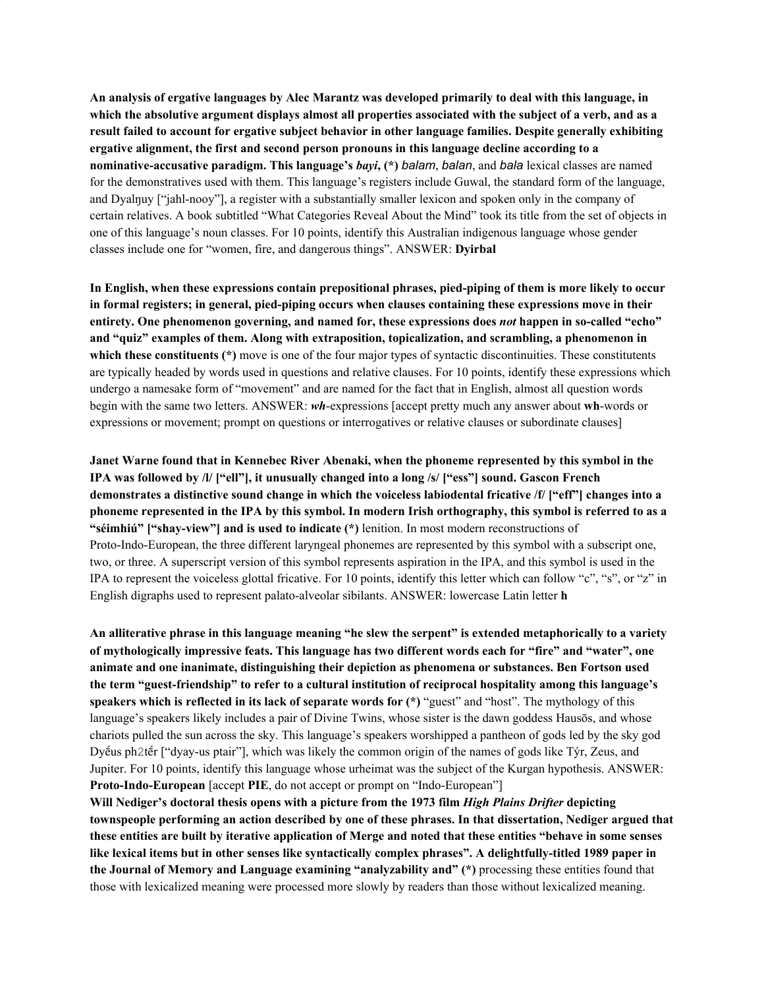**An analysis of ergative languages by Alec Marantz was developed primarily to deal with this language, in** which the absolutive argument displays almost all properties associated with the subject of a verb, and as a **result failed to account for ergative subject behavior in other language families. Despite generally exhibiting ergative alignment, the first and second person pronouns in this language decline according to a nominative-accusative paradigm. This language's** *bayi***, (\*)** *balam*, *balan*, and *bala* lexical classes are named for the demonstratives used with them. This language's registers include Guwal, the standard form of the language, and Dyalŋuy ["jahl-nooy"], a register with a substantially smaller lexicon and spoken only in the company of certain relatives. A book subtitled "What Categories Reveal About the Mind" took its title from the set of objects in one of this language's noun classes. For 10 points, identify this Australian indigenous language whose gender classes include one for "women, fire, and dangerous things". ANSWER: **Dyirbal**

**In English, when these expressions contain prepositional phrases, pied-piping of them is more likely to occur in formal registers; in general, pied-piping occurs when clauses containing these expressions move in their entirety. One phenomenon governing, and named for, these expressions does** *not* **happen in so-called "echo" and "quiz" examples of them. Along with extraposition, topicalization, and scrambling, a phenomenon in which these constituents (\*)** move is one of the four major types of syntactic discontinuities. These constitutents are typically headed by words used in questions and relative clauses. For 10 points, identify these expressions which undergo a namesake form of "movement" and are named for the fact that in English, almost all question words begin with the same two letters. ANSWER: *wh*-expressions [accept pretty much any answer about **wh**-words or expressions or movement; prompt on questions or interrogatives or relative clauses or subordinate clauses]

**Janet Warne found that in Kennebec River Abenaki, when the phoneme represented by this symbol in the IPA was followed by /l/ ["ell"], it unusually changed into a long /s/ ["ess"] sound. Gascon French demonstrates a distinctive sound change in which the voiceless labiodental fricative /f/ ["eff"] changes into a** phoneme represented in the IPA by this symbol. In modern Irish orthography, this symbol is referred to as a **"séimhiú" ["shay-view"] and is used to indicate (\*)** lenition. In most modern reconstructions of Proto-Indo-European, the three different laryngeal phonemes are represented by this symbol with a subscript one, two, or three. A superscript version of this symbol represents aspiration in the IPA, and this symbol is used in the IPA to represent the voiceless glottal fricative. For 10 points, identify this letter which can follow "c", "s", or "z" in English digraphs used to represent palato-alveolar sibilants. ANSWER: lowercase Latin letter **h**

An alliterative phrase in this language meaning "he slew the serpent" is extended metaphorically to a variety **of mythologically impressive feats. This language has two different words each for "fire" and "water", one animate and one inanimate, distinguishing their depiction as phenomena or substances. Ben Fortson used the term "guest-friendship" to refer to a cultural institution of reciprocal hospitality among this language's speakers which is reflected in its lack of separate words for (\*)** "guest" and "host". The mythology of this language's speakers likely includes a pair of Divine Twins, whose sister is the dawn goddess Hausōs, and whose chariots pulled the sun across the sky. This language's speakers worshipped a pantheon of gods led by the sky god Dyḗus ph2tḗr ["dyay-us ptair"], which was likely the common origin of the names of gods like Týr, Zeus, and Jupiter. For 10 points, identify this language whose urheimat was the subject of the Kurgan hypothesis. ANSWER: **Proto-Indo-European** [accept **PIE**, do not accept or prompt on "Indo-European"]

**Will Nediger's doctoral thesis opens with a picture from the 1973 film** *High Plains Drifter* **depicting townspeople performing an action described by one of these phrases. In that dissertation, Nediger argued that** these entities are built by iterative application of Merge and noted that these entities "behave in some senses **like lexical items but in other senses like syntactically complex phrases". A delightfully-titled 1989 paper in the Journal of Memory and Language examining "analyzability and" (\*)** processing these entities found that those with lexicalized meaning were processed more slowly by readers than those without lexicalized meaning.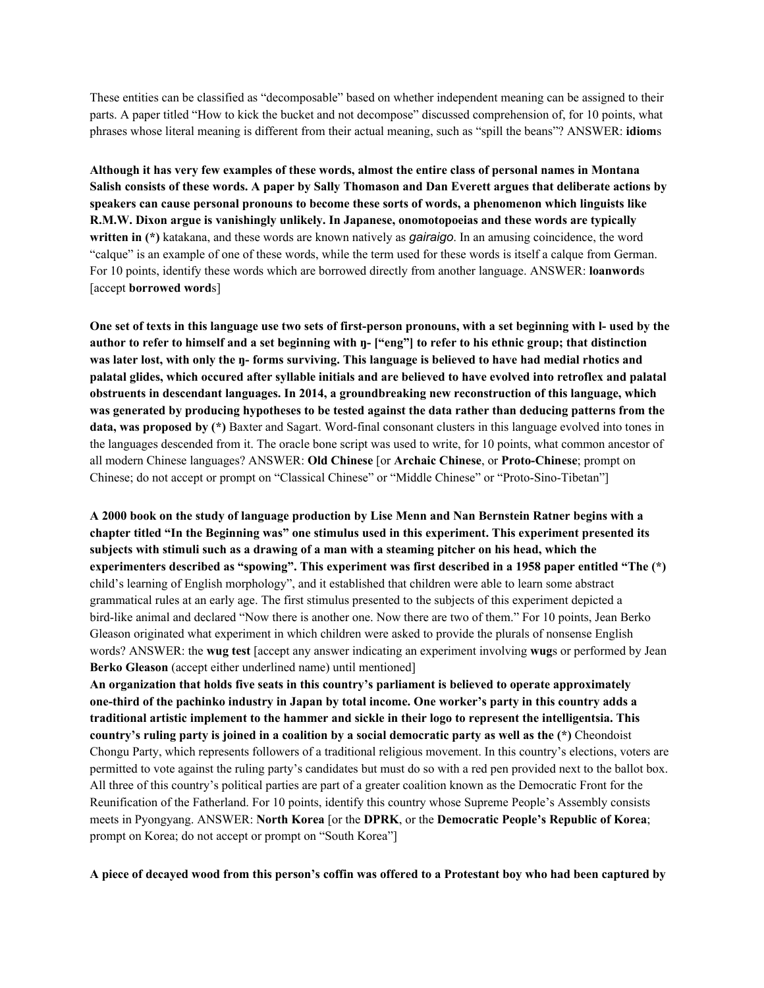These entities can be classified as "decomposable" based on whether independent meaning can be assigned to their parts. A paper titled "How to kick the bucket and not decompose" discussed comprehension of, for 10 points, what phrases whose literal meaning is different from their actual meaning, such as "spill the beans"? ANSWER: **idiom**s

Although it has very few examples of these words, almost the entire class of personal names in Montana Salish consists of these words. A paper by Sally Thomason and Dan Everett argues that deliberate actions by **speakers can cause personal pronouns to become these sorts of words, a phenomenon which linguists like R.M.W. Dixon argue is vanishingly unlikely. In Japanese, onomotopoeias and these words are typically written in (\*)** katakana, and these words are known natively as *gairaigo*. In an amusing coincidence, the word "calque" is an example of one of these words, while the term used for these words is itself a calque from German. For 10 points, identify these words which are borrowed directly from another language. ANSWER: **loanword**s [accept **borrowed word**s]

One set of texts in this language use two sets of first-person pronouns, with a set beginning with I- used by the author to refer to himself and a set beginning with n- ["eng"] to refer to his ethnic group; that distinction was later lost, with only the  $\eta$ -forms surviving. This language is believed to have had medial rhotics and palatal glides, which occured after syllable initials and are believed to have evolved into retroflex and palatal **obstruents in descendant languages. In 2014, a groundbreaking new reconstruction of this language, which** was generated by producing hypotheses to be tested against the data rather than deducing patterns from the **data, was proposed by (\*)** Baxter and Sagart. Word-final consonant clusters in this language evolved into tones in the languages descended from it. The oracle bone script was used to write, for 10 points, what common ancestor of all modern Chinese languages? ANSWER: **Old Chinese** [or **Archaic Chinese**, or **Proto-Chinese**; prompt on Chinese; do not accept or prompt on "Classical Chinese" or "Middle Chinese" or "Proto-Sino-Tibetan"]

A 2000 book on the study of language production by Lise Menn and Nan Bernstein Ratner begins with a **chapter titled "In the Beginning was" one stimulus used in this experiment. This experiment presented its** subjects with stimuli such as a drawing of a man with a steaming pitcher on his head, which the **experimenters described as "spowing". This experiment was first described in a 1958 paper entitled "The (\*)** child's learning of English morphology", and it established that children were able to learn some abstract grammatical rules at an early age. The first stimulus presented to the subjects of this experiment depicted a bird-like animal and declared "Now there is another one. Now there are two of them." For 10 points, Jean Berko Gleason originated what experiment in which children were asked to provide the plurals of nonsense English words? ANSWER: the **wug test** [accept any answer indicating an experiment involving **wug**s or performed by Jean **Berko Gleason** (accept either underlined name) until mentioned]

**An organization that holds five seats in this country's parliament is believed to operate approximately** one-third of the pachinko industry in Japan by total income. One worker's party in this country adds a **traditional artistic implement to the hammer and sickle in their logo to represent the intelligentsia. This** country's ruling party is joined in a coalition by a social democratic party as well as the (\*) Cheondoist Chongu Party, which represents followers of a traditional religious movement. In this country's elections, voters are permitted to vote against the ruling party's candidates but must do so with a red pen provided next to the ballot box. All three of this country's political parties are part of a greater coalition known as the Democratic Front for the Reunification of the Fatherland. For 10 points, identify this country whose Supreme People's Assembly consists meets in Pyongyang. ANSWER: **North Korea** [or the **DPRK**, or the **Democratic People's Republic of Korea**; prompt on Korea; do not accept or prompt on "South Korea"]

A piece of decayed wood from this person's coffin was offered to a Protestant boy who had been captured by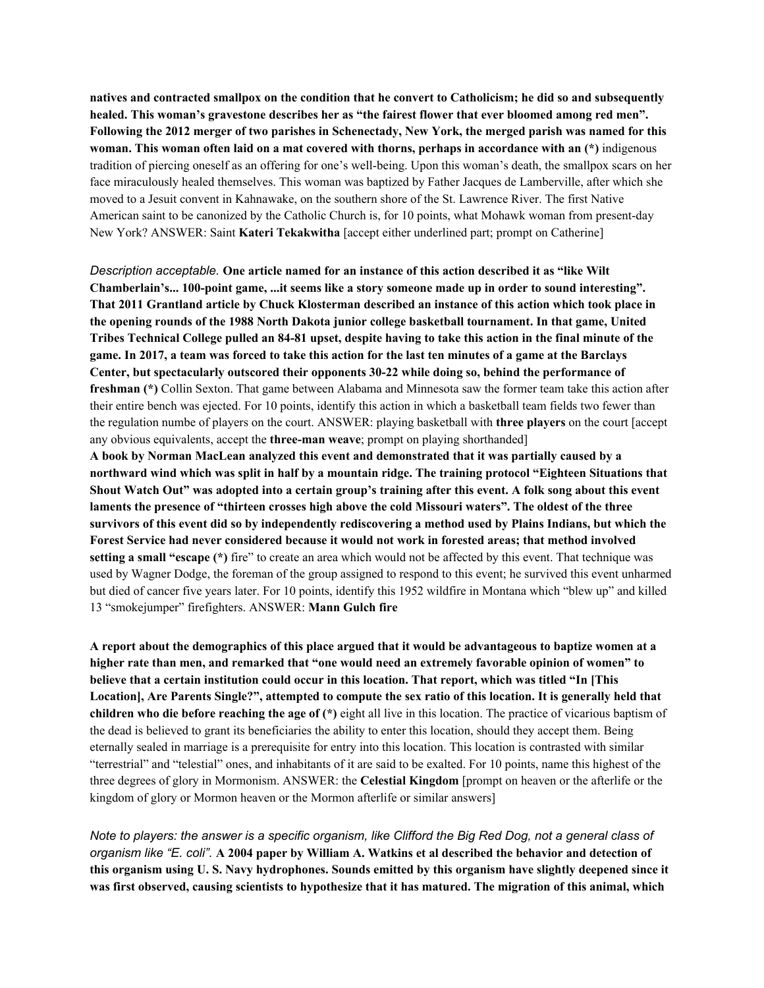natives and contracted smallpox on the condition that he convert to Catholicism; he did so and subsequently **healed. This woman's gravestone describes her as "the fairest flower that ever bloomed among red men".** Following the 2012 merger of two parishes in Schenectady, New York, the merged parish was named for this **woman. This woman often laid on a mat covered with thorns, perhaps in accordance with an (\*)** indigenous tradition of piercing oneself as an offering for one's well-being. Upon this woman's death, the smallpox scars on her face miraculously healed themselves. This woman was baptized by Father Jacques de Lamberville, after which she moved to a Jesuit convent in Kahnawake, on the southern shore of the St. Lawrence River. The first Native American saint to be canonized by the Catholic Church is, for 10 points, what Mohawk woman from present-day New York? ANSWER: Saint **Kateri Tekakwitha** [accept either underlined part; prompt on Catherine]

*Description acceptable.* **One article named for an instance of this action described it as "like Wilt Chamberlain's... 100-point game, ...it seems like a story someone made up in order to sound interesting". That 2011 Grantland article by Chuck Klosterman described an instance of this action which took place in the opening rounds of the 1988 North Dakota junior college basketball tournament. In that game, United** Tribes Technical College pulled an 84-81 upset, despite having to take this action in the final minute of the game. In 2017, a team was forced to take this action for the last ten minutes of a game at the Barclays **Center, but spectacularly outscored their opponents 30-22 while doing so, behind the performance of freshman (\*)** Collin Sexton. That game between Alabama and Minnesota saw the former team take this action after their entire bench was ejected. For 10 points, identify this action in which a basketball team fields two fewer than the regulation numbe of players on the court. ANSWER: playing basketball with **three players** on the court [accept any obvious equivalents, accept the **three-man weave**; prompt on playing shorthanded] **A book by Norman MacLean analyzed this event and demonstrated that it was partially caused by a**

northward wind which was split in half by a mountain ridge. The training protocol "Eighteen Situations that Shout Watch Out" was adopted into a certain group's training after this event. A folk song about this event **laments the presence of "thirteen crosses high above the cold Missouri waters". The oldest of the three** survivors of this event did so by independently rediscovering a method used by Plains Indians, but which the **Forest Service had never considered because it would not work in forested areas; that method involved setting a small "escape (\*)** fire" to create an area which would not be affected by this event. That technique was used by Wagner Dodge, the foreman of the group assigned to respond to this event; he survived this event unharmed but died of cancer five years later. For 10 points, identify this 1952 wildfire in Montana which "blew up" and killed 13 "smokejumper" firefighters. ANSWER: **Mann Gulch fire**

A report about the demographics of this place argued that it would be advantageous to baptize women at a **higher rate than men, and remarked that "one would need an extremely favorable opinion of women" to believe that a certain institution could occur in this location. That report, which was titled "In [This** Location], Are Parents Single?", attempted to compute the sex ratio of this location. It is generally held that **children who die before reaching the age of (\*)** eight all live in this location. The practice of vicarious baptism of the dead is believed to grant its beneficiaries the ability to enter this location, should they accept them. Being eternally sealed in marriage is a prerequisite for entry into this location. This location is contrasted with similar "terrestrial" and "telestial" ones, and inhabitants of it are said to be exalted. For 10 points, name this highest of the three degrees of glory in Mormonism. ANSWER: the **Celestial Kingdom** [prompt on heaven or the afterlife or the kingdom of glory or Mormon heaven or the Mormon afterlife or similar answers]

Note to players: the answer is a specific organism, like Clifford the Big Red Dog, not a general class of organism like "E. coli". A 2004 paper by William A. Watkins et al described the behavior and detection of this organism using U.S. Navy hydrophones. Sounds emitted by this organism have slightly deepened since it was first observed, causing scientists to hypothesize that it has matured. The migration of this animal, which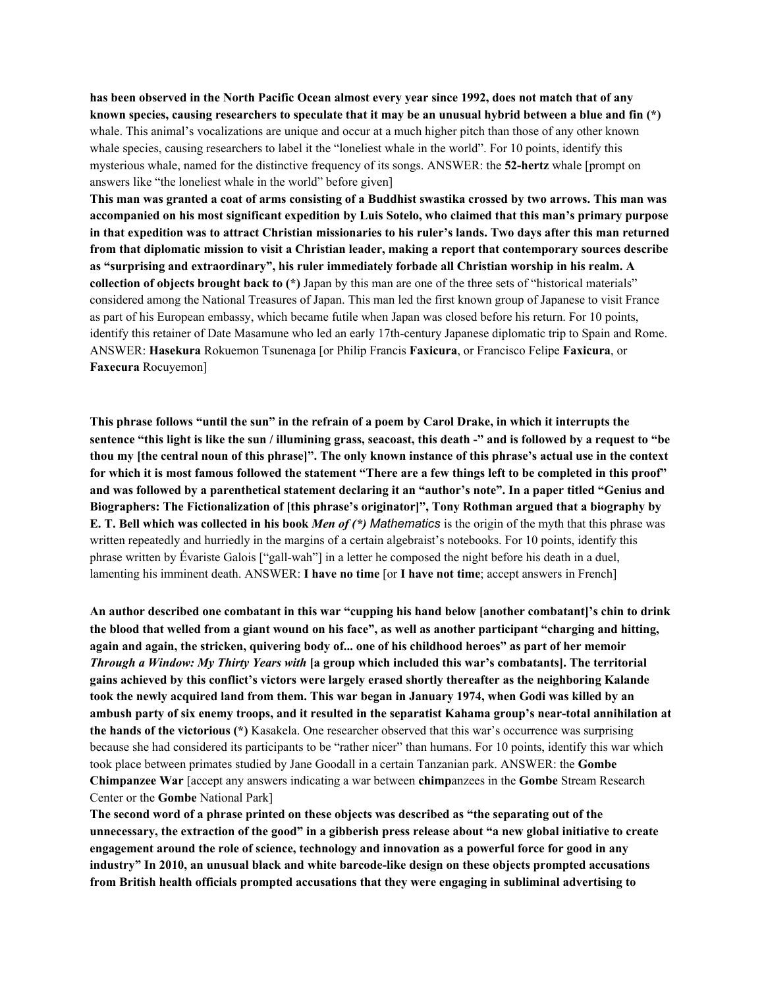has been observed in the North Pacific Ocean almost every year since 1992, does not match that of any known species, causing researchers to speculate that it may be an unusual hybrid between a blue and fin  $(*)$ whale. This animal's vocalizations are unique and occur at a much higher pitch than those of any other known whale species, causing researchers to label it the "loneliest whale in the world". For 10 points, identify this mysterious whale, named for the distinctive frequency of its songs. ANSWER: the **52-hertz** whale [prompt on answers like "the loneliest whale in the world" before given]

This man was granted a coat of arms consisting of a Buddhist swastika crossed by two arrows. This man was **accompanied on his most significant expedition by Luis Sotelo, who claimed that this man's primary purpose** in that expedition was to attract Christian missionaries to his ruler's lands. Two days after this man returned **from that diplomatic mission to visit a Christian leader, making a report that contemporary sources describe as "surprising and extraordinary", his ruler immediately forbade all Christian worship in his realm. A collection of objects brought back to (\*)** Japan by this man are one of the three sets of "historical materials" considered among the National Treasures of Japan. This man led the first known group of Japanese to visit France as part of his European embassy, which became futile when Japan was closed before his return. For 10 points, identify this retainer of Date Masamune who led an early 17th-century Japanese diplomatic trip to Spain and Rome. ANSWER: **Hasekura** Rokuemon Tsunenaga [or Philip Francis **Faxicura**, or Francisco Felipe **Faxicura**, or **Faxecura** Rocuyemon]

This phrase follows "until the sun" in the refrain of a poem by Carol Drake, in which it interrupts the sentence "this light is like the sun / illumining grass, seacoast, this death -" and is followed by a request to "be thou my [the central noun of this phrase]". The only known instance of this phrase's actual use in the context for which it is most famous followed the statement "There are a few things left to be completed in this proof" and was followed by a parenthetical statement declaring it an "author's note". In a paper titled "Genius and **Biographers: The Fictionalization of [this phrase's originator]", Tony Rothman argued that a biography by E. T. Bell which was collected in his book** *Men of (\*) Mathematics* is the origin of the myth that this phrase was written repeatedly and hurriedly in the margins of a certain algebraist's notebooks. For 10 points, identify this phrase written by Évariste Galois ["gall-wah"] in a letter he composed the night before his death in a duel, lamenting his imminent death. ANSWER: **I have no time** [or **I have not time**; accept answers in French]

**An author described one combatant in this war "cupping his hand below [another combatant]'s chin to drink** the blood that welled from a giant wound on his face", as well as another participant "charging and hitting, again and again, the stricken, quivering body of... one of his childhood heroes" as part of her memoir *Through a Window: My Thirty Years with* **[a group which included this war's combatants]. The territorial gains achieved by this conflict's victors were largely erased shortly thereafter as the neighboring Kalande** took the newly acquired land from them. This war began in January 1974, when Godi was killed by an ambush party of six enemy troops, and it resulted in the separatist Kahama group's near-total annihilation at **the hands of the victorious (\*)** Kasakela. One researcher observed that this war's occurrence was surprising because she had considered its participants to be "rather nicer" than humans. For 10 points, identify this war which took place between primates studied by Jane Goodall in a certain Tanzanian park. ANSWER: the **Gombe Chimpanzee War** [accept any answers indicating a war between **chimp**anzees in the **Gombe** Stream Research Center or the **Gombe** National Park]

**The second word of a phrase printed on these objects was described as "the separating out of the** unnecessary, the extraction of the good" in a gibberish press release about "a new global initiative to create **engagement around the role of science, technology and innovation as a powerful force for good in any industry" In 2010, an unusual black and white barcode-like design on these objects prompted accusations from British health officials prompted accusations that they were engaging in subliminal advertising to**